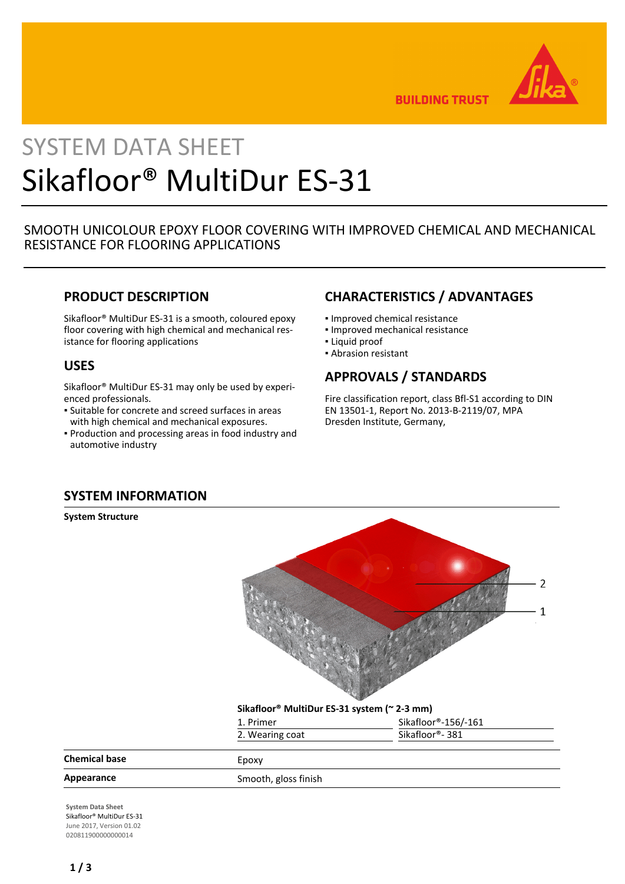

**BUILDING TRUST** 

# SYSTEM DATA SHEET Sikafloor® MultiDur ES-31

### SMOOTH UNICOLOUR EPOXY FLOOR COVERING WITH IMPROVED CHEMICAL AND MECHANICAL RESISTANCE FOR FLOORING APPLICATIONS

### **PRODUCT DESCRIPTION**

Sikafloor® MultiDur ES-31 is a smooth, coloured epoxy floor covering with high chemical and mechanical resistance for flooring applications

### **USES**

Sikafloor® MultiDur ES-31 may only be used by experienced professionals.

- **Example 5 Is also Serion Engino** . Suitable for concrete and screet surfaces in areas with high chemical and mechanical exposures.
- **Production and processing areas in food industry and** automotive industry

### **CHARACTERISTICS / ADVANTAGES**

- Improved chemical resistance
- Improved mechanical resistance
- Liquid proof
- Abrasion resistant

### **APPROVALS / STANDARDS**

Fire classification report, class Bfl-S1 according to DIN EN 13501-1, Report No. 2013-B-2119/07, MPA Dresden Institute, Germany,

### **SYSTEM INFORMATION**

**System Structure**



#### **Sikafloor® MultiDur ES-31 system (~ 2-3 mm)**

| Sikafloor®-381      |
|---------------------|
| Sikafloor®-156/-161 |
|                     |

| <b>Chemical base</b> | сроху                |
|----------------------|----------------------|
| Appearance           | Smooth, gloss finish |

**System Data Sheet** Sikafloor® MultiDur ES-31 June 2017, Version 01.02 020811900000000014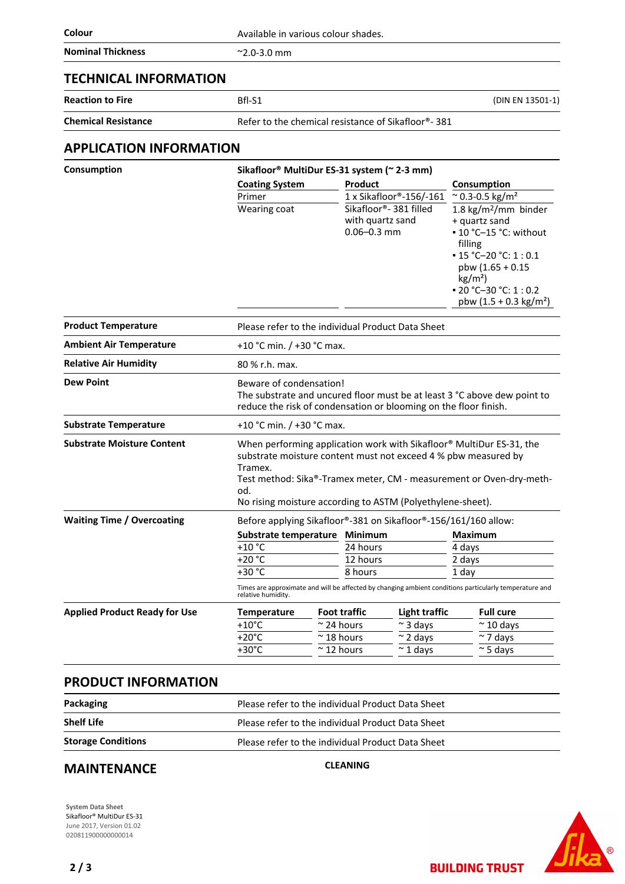| Colour                         | Available in various colour shades.                     |                                                               |                                                                                                                                                                                                                                     |  |
|--------------------------------|---------------------------------------------------------|---------------------------------------------------------------|-------------------------------------------------------------------------------------------------------------------------------------------------------------------------------------------------------------------------------------|--|
| <b>Nominal Thickness</b>       | $^{\sim}$ 2.0-3.0 mm                                    |                                                               |                                                                                                                                                                                                                                     |  |
| <b>TECHNICAL INFORMATION</b>   |                                                         |                                                               |                                                                                                                                                                                                                                     |  |
| <b>Reaction to Fire</b>        | Bfl-S1<br>(DIN EN 13501-1)                              |                                                               |                                                                                                                                                                                                                                     |  |
| <b>Chemical Resistance</b>     | Refer to the chemical resistance of Sikafloor®-381      |                                                               |                                                                                                                                                                                                                                     |  |
| APPLICATION INFORMATION        |                                                         |                                                               |                                                                                                                                                                                                                                     |  |
| Consumption                    | Sikafloor <sup>®</sup> MultiDur ES-31 system (~ 2-3 mm) |                                                               |                                                                                                                                                                                                                                     |  |
|                                | <b>Coating System</b>                                   | Product                                                       | Consumption                                                                                                                                                                                                                         |  |
|                                | Primer                                                  | $1x$ Sikafloor®-156/-161                                      | $\approx$ 0.3-0.5 kg/m <sup>2</sup>                                                                                                                                                                                                 |  |
|                                | Wearing coat                                            | Sikafloor®- 381 filled<br>with quartz sand<br>$0.06 - 0.3$ mm | 1.8 $kg/m2/mm$ binder<br>+ quartz sand<br>$\cdot$ 10 °C-15 °C: without<br>filling<br>$\cdot$ 15 °C-20 °C: 1 : 0.1<br>pbw $(1.65 + 0.15)$<br>kg/m <sup>2</sup><br>$\bullet$ 20 °C-30 °C: 1 : 0.2<br>pbw $(1.5 + 0.3 \text{ kg/m}^2)$ |  |
| <b>Product Temperature</b>     |                                                         | Please refer to the individual Product Data Sheet             |                                                                                                                                                                                                                                     |  |
| <b>Ambient Air Temperature</b> | +10 °C min. / +30 °C max.                               |                                                               |                                                                                                                                                                                                                                     |  |
| <b>Relative Air Humidity</b>   | 80 % r.h. max.                                          |                                                               |                                                                                                                                                                                                                                     |  |
|                                |                                                         |                                                               |                                                                                                                                                                                                                                     |  |

| <b>Relative Air Humidity</b>         | 80 % r.h. max.                                                                                                                                                                                                                                                                                            |                                                                 |  |                    |                                   |                 |  |
|--------------------------------------|-----------------------------------------------------------------------------------------------------------------------------------------------------------------------------------------------------------------------------------------------------------------------------------------------------------|-----------------------------------------------------------------|--|--------------------|-----------------------------------|-----------------|--|
| <b>Dew Point</b>                     | Beware of condensation!<br>The substrate and uncured floor must be at least 3 °C above dew point to<br>reduce the risk of condensation or blooming on the floor finish.                                                                                                                                   |                                                                 |  |                    |                                   |                 |  |
| <b>Substrate Temperature</b>         | +10 °C min. $/$ +30 °C max.                                                                                                                                                                                                                                                                               |                                                                 |  |                    |                                   |                 |  |
| <b>Substrate Moisture Content</b>    | When performing application work with Sikafloor <sup>®</sup> MultiDur ES-31, the<br>substrate moisture content must not exceed 4 % pbw measured by<br>Tramex.<br>Test method: Sika®-Tramex meter, CM - measurement or Oven-dry-meth-<br>od.<br>No rising moisture according to ASTM (Polyethylene-sheet). |                                                                 |  |                    |                                   |                 |  |
| <b>Waiting Time / Overcoating</b>    |                                                                                                                                                                                                                                                                                                           | Before applying Sikafloor®-381 on Sikafloor®-156/161/160 allow: |  |                    |                                   |                 |  |
|                                      | Substrate temperature Minimum                                                                                                                                                                                                                                                                             |                                                                 |  |                    |                                   | <b>Maximum</b>  |  |
|                                      | $+10 °C$                                                                                                                                                                                                                                                                                                  | 24 hours                                                        |  | 4 days             |                                   |                 |  |
|                                      | $+20 °C$                                                                                                                                                                                                                                                                                                  |                                                                 |  | 12 hours<br>2 days |                                   |                 |  |
|                                      | +30 °C                                                                                                                                                                                                                                                                                                    | 8 hours                                                         |  | 1 day              |                                   |                 |  |
|                                      | Times are approximate and will be affected by changing ambient conditions particularly temperature and<br>relative humidity.                                                                                                                                                                              |                                                                 |  |                    |                                   |                 |  |
| <b>Applied Product Ready for Use</b> | <b>Temperature</b>                                                                                                                                                                                                                                                                                        | <b>Foot traffic</b>                                             |  |                    | Light traffic<br><b>Full cure</b> |                 |  |
|                                      | $+10^{\circ}$ C                                                                                                                                                                                                                                                                                           | $\approx$ 24 hours                                              |  | $\sim$ 3 days      |                                   | $~\sim$ 10 days |  |
|                                      | $+20^{\circ}$ C                                                                                                                                                                                                                                                                                           | $\approx$ 18 hours                                              |  | $\sim$ 2 days      |                                   | $\sim$ 7 days   |  |
|                                      | $+30^{\circ}$ C                                                                                                                                                                                                                                                                                           | $\approx$ 12 hours                                              |  | $\approx$ 1 days   |                                   | $~\sim$ 5 days  |  |
|                                      |                                                                                                                                                                                                                                                                                                           |                                                                 |  |                    |                                   |                 |  |

### **PRODUCT INFORMATION**

| Packaging                 | Please refer to the individual Product Data Sheet |
|---------------------------|---------------------------------------------------|
| <b>Shelf Life</b>         | Please refer to the individual Product Data Sheet |
| <b>Storage Conditions</b> | Please refer to the individual Product Data Sheet |

# **MAINTENANCE** CLEANING

**System Data Sheet** Sikafloor® MultiDur ES-31 June 2017, Version 01.02 0208119000000000014

**BUILDING TRUST**